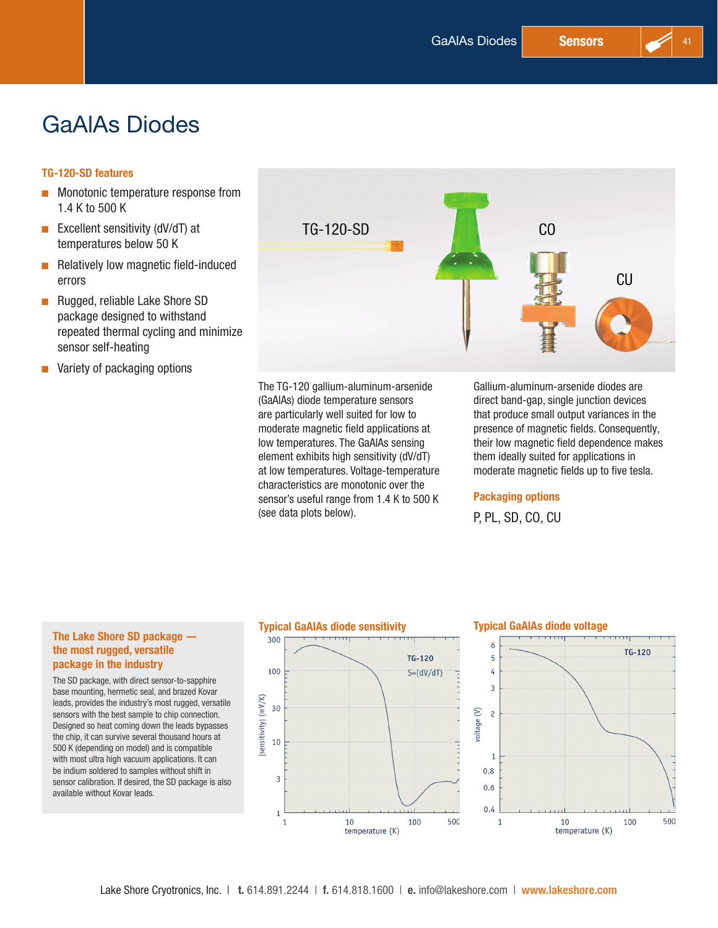# GaAlAs Diodes

### TG-120-SD features

- **DE Monotonic temperature response from** 1.4 K to 500 K
- **Excellent sensitivity (dV/dT) at** temperatures below 50 K
- $\blacksquare$  Relatively low magnetic field-induced errors
- Rugged, reliable Lake Shore SD package designed to withstand repeated thermal cycling and minimize sensor self-heating
- $\blacksquare$  Variety of packaging options



The TG-120 gallium-aluminum-arsenide (GaAlAs) diode temperature sensors are particularly well suited for low to moderate magnetic field applications at low temperatures. The GaAlAs sensing element exhibits high sensitivity (dV/dT) at low temperatures. Voltage-temperature characteristics are monotonic over the sensor's useful range from 1.4 K to 500 K (see data plots below).

Gallium-aluminum-arsenide diodes are direct band-gap, single junction devices that produce small output variances in the presence of magnetic fields. Consequently, their low magnetic field dependence makes them ideally suited for applications in moderate magnetic fields up to five tesla.

#### Packaging options

P, PL, SD, CO, CU

# the most rugged, versatile package in the industry

The SD package, with direct sensor-to-sapphire base mounting, hermetic seal, and brazed Kovar leads, provides the industry's most rugged, versatile sensors with the best sample to chip connection. Designed so heat coming down the leads bypasses the chip, it can survive several thousand hours at 500 K (depending on model) and is compatible with most ultra high vacuum applications. It can be indium soldered to samples without shift in sensor calibration. If desired, the SD package is also available without Kovar leads.



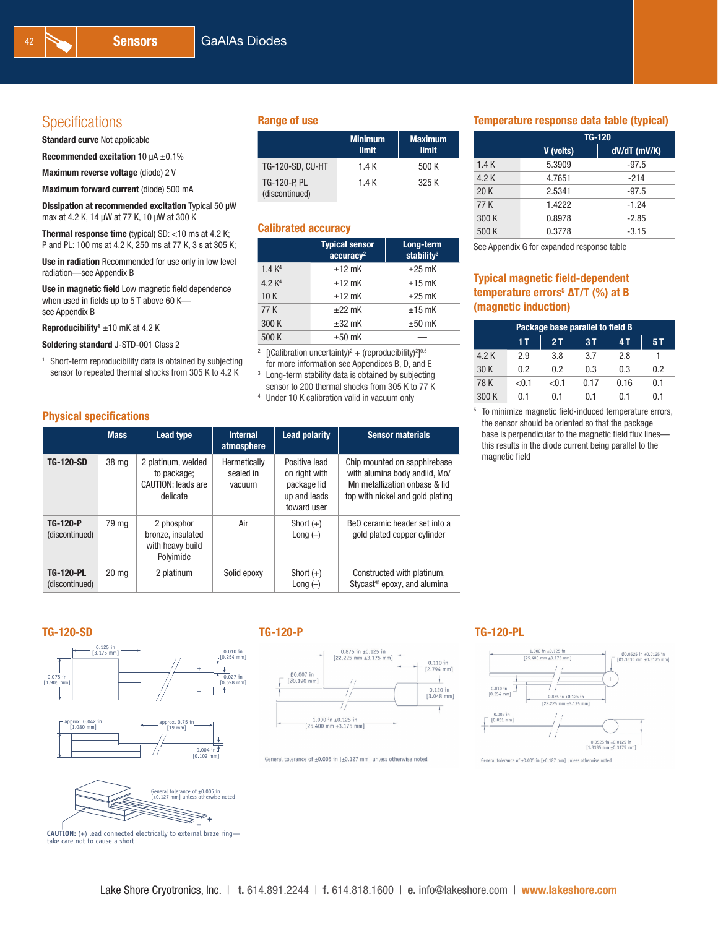# Specifications **Range of use**

Standard curve Not applicable

Recommended excitation 10  $\mu$ A  $\pm$ 0.1%

Maximum reverse voltage (diode) 2 V

Maximum forward current (diode) 500 mA

Dissipation at recommended excitation Typical 50 µW max at 4.2 K, 14 µW at 77 K, 10 µW at 300 K

Thermal response time (typical) SD: <10 ms at 4.2 K; P and PL: 100 ms at 4.2 K, 250 ms at 77 K, 3 s at 305 K;

Use in radiation Recommended for use only in low level radiation—see Appendix B

Use in magnetic field Low magnetic field dependence when used in fields up to 5 T above 60 K see Appendix B

Reproducibility<sup>1</sup> ±10 mK at 4.2 K

Soldering standard J-STD-001 Class 2

<sup>1</sup> Short-term reproducibility data is obtained by subjecting sensor to repeated thermal shocks from 305 K to 4.2 K

### Physical specifications

|                                    | <b>Mass</b>      | Lead type                                                           | Internal<br>atmosphere              | <b>Lead polarity</b>                                                         | <b>Sensor materials</b>                                                                                                            |
|------------------------------------|------------------|---------------------------------------------------------------------|-------------------------------------|------------------------------------------------------------------------------|------------------------------------------------------------------------------------------------------------------------------------|
| <b>TG-120-SD</b>                   | 38 mg            | 2 platinum, welded<br>to package;<br>CAUTION: leads are<br>delicate | Hermetically<br>sealed in<br>vacuum | Positive lead<br>on right with<br>package lid<br>up and leads<br>toward user | Chip mounted on sapphirebase<br>with alumina body andlid, Mo/<br>Mn metallization onbase & lid<br>top with nickel and gold plating |
| <b>TG-120-P</b><br>(discontinued)  | 79 ma            | 2 phosphor<br>bronze, insulated<br>with heavy build<br>Polyimide    | Air                                 | Short $(+)$<br>Long $(-)$                                                    | BeO ceramic header set into a<br>gold plated copper cylinder                                                                       |
| <b>TG-120-PL</b><br>(discontinued) | 20 <sub>mg</sub> | 2 platinum                                                          | Solid epoxy                         | Short $(+)$<br>Long $(-)$                                                    | Constructed with platinum.<br>Stycast <sup>®</sup> epoxy, and alumina                                                              |

|                                | <b>Minimum</b><br>limit | <b>Maximum</b><br>limit |
|--------------------------------|-------------------------|-------------------------|
| <b>TG-120-SD, CU-HT</b>        | 1.4 K                   | 500 K                   |
| TG-120-P. PL<br>(discontinued) | 1.4 K                   | 325 K                   |

#### Calibrated accuracy

|                    | <b>Typical sensor</b><br>accuracy <sup>2</sup> | Long-term<br>stability $3$ |
|--------------------|------------------------------------------------|----------------------------|
| 1.4 K <sup>4</sup> | $±12$ mK                                       | $\pm 25$ mK                |
| 4.2 K <sup>4</sup> | $+12$ mK                                       | $±15$ mK                   |
| 10K                | $+12$ mK                                       | $\pm 25$ mK                |
| 77 K               | $+22$ mK                                       | $±15$ mK                   |
| 300 K              | $\pm 32$ mK                                    | $\pm 50$ mK                |
| 500 K              | $+50$ mK                                       |                            |

<sup>2</sup> [(Calibration uncertainty)<sup>2</sup> + (reproducibility)<sup>2</sup>]<sup>0.5</sup> for more information see Appendices B, D, and E

<sup>3</sup> Long-term stability data is obtained by subjecting sensor to 200 thermal shocks from 305 K to 77 K

<sup>4</sup> Under 10 K calibration valid in vacuum only

### Temperature response data table (typical)

|       | <b>TG-120</b> |                |  |
|-------|---------------|----------------|--|
|       | V (volts)     | $dV/dT$ (mV/K) |  |
| 1.4K  | 5.3909        | $-97.5$        |  |
| 4.2 K | 4.7651        | $-214$         |  |
| 20K   | 2.5341        | $-97.5$        |  |
| 77 K  | 1.4222        | $-1.24$        |  |
| 300 K | 0.8978        | $-2.85$        |  |
| 500 K | 0.3778        | $-3.15$        |  |

See Appendix G for expanded response table

### Typical magnetic field-dependent temperature errors<sup>5</sup> ΔT/T (%) at B (magnetic induction)

|       | Package base parallel to field B |       |      |      |     |
|-------|----------------------------------|-------|------|------|-----|
|       | 1 T                              | 2T    | 3T   | 4 T  | 5 T |
| 4.2 K | 2.9                              | 3.8   | 3.7  | 2.8  |     |
| 30 K  | 0.2                              | 0.2   | 0.3  | 0.3  | 0.2 |
| 78K   | $<$ 0.1                          | < 0.1 | 0.17 | 0.16 | 0.1 |
| 300 K | በ 1                              | N 1   | ი 1  | ი 1  |     |

<sup>5</sup> To minimize magnetic field-induced temperature errors, the sensor should be oriented so that the package base is perpendicular to the magnetic field flux lines this results in the diode current being parallel to the magnetic field

### TG-120-SD TG-120-P TG-120-PL







take care not to cause a short



General tolerance of  $\pm 0.005$  in [ $\pm 0.127$  mm] unless otherwise noted



General tolerance of  $\pm 0.005$  in [ $\pm 0.127$  mm] unless otherwise noted